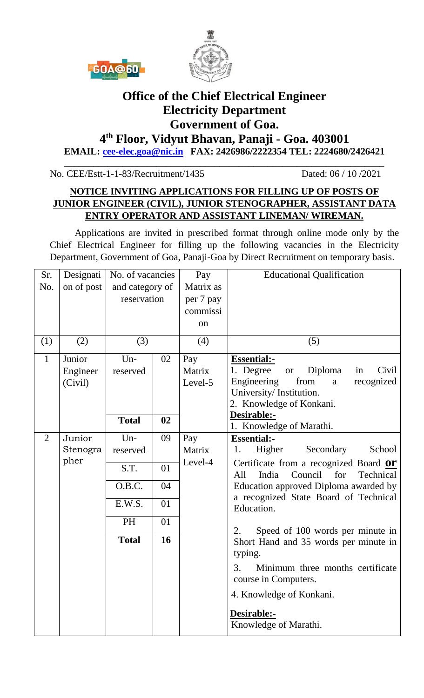



## **Office of the Chief Electrical Engineer Electricity Department Government of Goa.**

**4 th Floor, Vidyut Bhavan, Panaji - Goa. 403001**

**EMAIL: [cee-elec.goa@nic.in](mailto:cee-elec.goa@nic.in) FAX: 2426986/2222354 TEL: 2224680/2426421 \_\_\_\_\_\_\_\_\_\_\_\_\_\_\_\_\_\_\_\_\_\_\_\_\_\_\_\_\_\_\_\_\_\_\_\_\_\_\_\_\_\_\_\_\_\_\_\_\_\_\_\_\_\_\_\_\_\_\_\_\_\_\_\_\_\_**

No. CEE/Estt-1-1-83/Recruitment/1435 Dated: 06 / 10 /2021

## **NOTICE INVITING APPLICATIONS FOR FILLING UP OF POSTS OF JUNIOR ENGINEER (CIVIL), JUNIOR STENOGRAPHER, ASSISTANT DATA ENTRY OPERATOR AND ASSISTANT LINEMAN/ WIREMAN.**

Applications are invited in prescribed format through online mode only by the Chief Electrical Engineer for filling up the following vacancies in the Electricity Department, Government of Goa, Panaji-Goa by Direct Recruitment on temporary basis.

| Sr.            | Designati  | No. of vacancies |    | Pay       | <b>Educational Qualification</b>                                                          |
|----------------|------------|------------------|----|-----------|-------------------------------------------------------------------------------------------|
| No.            | on of post | and category of  |    | Matrix as |                                                                                           |
|                |            | reservation      |    | per 7 pay |                                                                                           |
|                |            |                  |    | commissi  |                                                                                           |
|                |            |                  |    | on        |                                                                                           |
| (1)            | (2)        | (3)              |    | (4)       | (5)                                                                                       |
| $\mathbf{1}$   | Junior     | $Un-$            | 02 | Pay       | <b>Essential:-</b>                                                                        |
|                | Engineer   | reserved         |    | Matrix    | Civil<br>1. Degree<br>Diploma<br>in<br><b>or</b>                                          |
|                | (Civil)    |                  |    | Level-5   | Engineering<br>recognized<br>from<br>a                                                    |
|                |            |                  |    |           | University/Institution.                                                                   |
|                |            |                  |    |           | 2. Knowledge of Konkani.                                                                  |
|                |            | <b>Total</b>     | 02 |           | Desirable:-                                                                               |
|                |            |                  |    |           | 1. Knowledge of Marathi.                                                                  |
| $\overline{2}$ | Junior     | $Un-$            | 09 | Pay       | <b>Essential:-</b>                                                                        |
|                | Stenogra   | reserved         |    | Matrix    | Higher<br>Secondary<br>School<br>1.                                                       |
|                | pher       | S.T.             | 01 | Level-4   | Certificate from a recognized Board <b>or</b><br>Council for<br>Technical<br>India<br>All |
|                |            | O.B.C.           | 04 |           | Education approved Diploma awarded by<br>a recognized State Board of Technical            |
|                |            | E.W.S.           | 01 |           | Education.                                                                                |
|                |            | <b>PH</b>        | 01 |           | Speed of 100 words per minute in<br>2.                                                    |
|                |            | <b>Total</b>     | 16 |           | Short Hand and 35 words per minute in<br>typing.                                          |
|                |            |                  |    |           | 3.<br>Minimum three months certificate<br>course in Computers.                            |
|                |            |                  |    |           | 4. Knowledge of Konkani.                                                                  |
|                |            |                  |    |           | Desirable:-<br>Knowledge of Marathi.                                                      |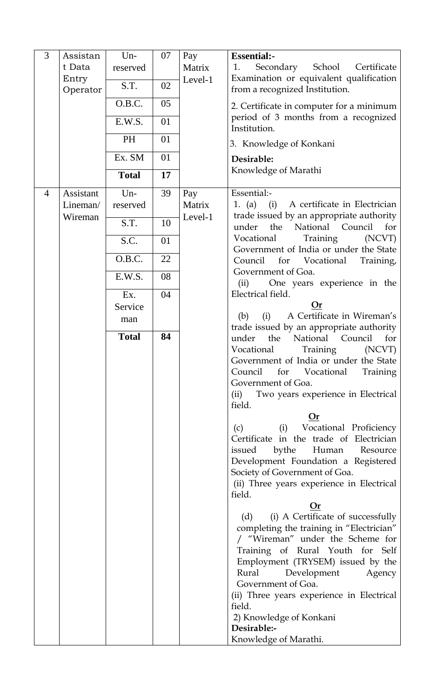| 3<br>Assistan<br>t Data<br>Entry<br>Operator       | $Un-$<br>reserved<br>S.T.<br>O.B.C.<br>E.W.S.<br><b>PH</b><br>Ex. SM<br><b>Total</b>           | 07<br>02<br>05<br>01<br>01<br>01<br>17 | Pay<br>Matrix<br>Level-1 | <b>Essential:-</b><br>School Certificate<br>Secondary<br>1.<br>Examination or equivalent qualification<br>from a recognized Institution.<br>2. Certificate in computer for a minimum<br>period of 3 months from a recognized<br>Institution.<br>3. Knowledge of Konkani<br>Desirable:<br>Knowledge of Marathi                                                                                                                                                                                                                                                                                                                                                                                                                                                                                                                                                                                                                                                                                                                                                                                                                                                                                                                                                                                                                                                          |
|----------------------------------------------------|------------------------------------------------------------------------------------------------|----------------------------------------|--------------------------|------------------------------------------------------------------------------------------------------------------------------------------------------------------------------------------------------------------------------------------------------------------------------------------------------------------------------------------------------------------------------------------------------------------------------------------------------------------------------------------------------------------------------------------------------------------------------------------------------------------------------------------------------------------------------------------------------------------------------------------------------------------------------------------------------------------------------------------------------------------------------------------------------------------------------------------------------------------------------------------------------------------------------------------------------------------------------------------------------------------------------------------------------------------------------------------------------------------------------------------------------------------------------------------------------------------------------------------------------------------------|
| Assistant<br>$\overline{4}$<br>Lineman/<br>Wireman | $Un-$<br>reserved<br>S.T.<br>S.C.<br>O.B.C.<br>E.W.S.<br>Ex.<br>Service<br>man<br><b>Total</b> | 39<br>10<br>01<br>22<br>08<br>04<br>84 | Pay<br>Matrix<br>Level-1 | Essential:-<br>1. (a) (i)<br>A certificate in Electrician<br>trade issued by an appropriate authority<br>National Council<br>for<br>under<br>the<br>(NCVT)<br>Training<br>Vocational<br>Government of India or under the State<br>Council<br>for Vocational<br>Training,<br>Government of Goa.<br>(ii) One years experience in the<br>Electrical field.<br>A Certificate in Wireman's<br>(b)<br>(i)<br>trade issued by an appropriate authority<br>National<br>under<br>the<br>Council<br>for<br>Vocational<br>Training<br>(NCVT)<br>Government of India or under the State<br>Council<br>for<br>Vocational<br>Training<br>Government of Goa.<br>Two years experience in Electrical<br>(ii)<br>field.<br><b>Or</b><br>(i) Vocational Proficiency<br>(c)<br>Certificate in the trade of Electrician<br>issued<br>bythe<br>Human<br>Resource<br>Development Foundation a Registered<br>Society of Government of Goa.<br>(ii) Three years experience in Electrical<br>field.<br>Or<br>(i) A Certificate of successfully<br>(d)<br>completing the training in "Electrician"<br>/ "Wireman" under the Scheme for<br>Training of Rural Youth for Self<br>Employment (TRYSEM) issued by the<br>Development<br>Rural<br>Agency<br>Government of Goa.<br>(ii) Three years experience in Electrical<br>field.<br>2) Knowledge of Konkani<br>Desirable:-<br>Knowledge of Marathi. |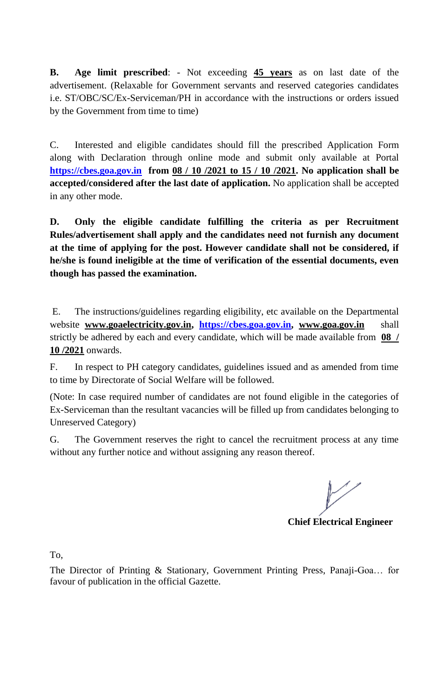**B. Age limit prescribed**: - Not exceeding **45 years** as on last date of the advertisement. (Relaxable for Government servants and reserved categories candidates i.e. ST/OBC/SC/Ex-Serviceman/PH in accordance with the instructions or orders issued by the Government from time to time)

C. Interested and eligible candidates should fill the prescribed Application Form along with Declaration through online mode and submit only available at Portal **[https://cbes.goa.gov.in](https://cbes.goa.gov.in/) from 08 / 10 /2021 to 15 / 10 /2021. No application shall be accepted/considered after the last date of application.** No application shall be accepted in any other mode.

**D. Only the eligible candidate fulfilling the criteria as per Recruitment Rules/advertisement shall apply and the candidates need not furnish any document at the time of applying for the post. However candidate shall not be considered, if he/she is found ineligible at the time of verification of the essential documents, even though has passed the examination.** 

E. The instructions/guidelines regarding eligibility, etc available on the Departmental website **www.goaelectricity.gov.in, [https://cbes.goa.gov.in,](https://cbes.goa.gov.in/) www.goa.gov.in** shall strictly be adhered by each and every candidate, which will be made available from **08 / 10 /2021** onwards.

F. In respect to PH category candidates, guidelines issued and as amended from time to time by Directorate of Social Welfare will be followed.

(Note: In case required number of candidates are not found eligible in the categories of Ex-Serviceman than the resultant vacancies will be filled up from candidates belonging to Unreserved Category)

G. The Government reserves the right to cancel the recruitment process at any time without any further notice and without assigning any reason thereof.

**Chief Electrical Engineer**

To,

The Director of Printing & Stationary, Government Printing Press, Panaji-Goa… for favour of publication in the official Gazette.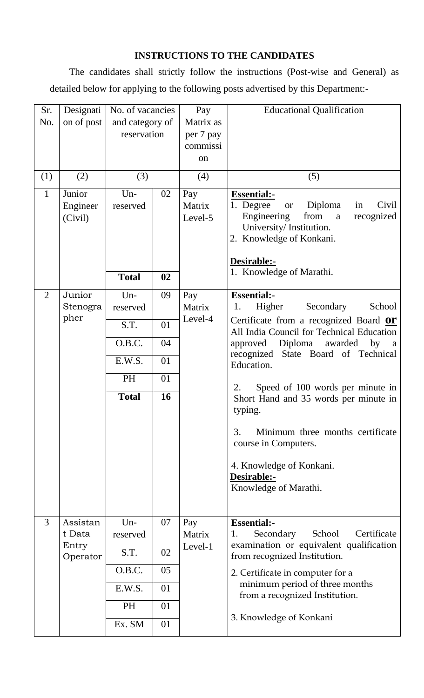## **INSTRUCTIONS TO THE CANDIDATES**

 The candidates shall strictly follow the instructions (Post-wise and General) as detailed below for applying to the following posts advertised by this Department:-

| Sr.<br>No.   | Designati<br>on of post                 | No. of vacancies<br>and category of<br>reservation                         |                                  | Pay<br>Matrix as<br>per 7 pay<br>commissi<br>on | <b>Educational Qualification</b>                                                                                                                                                                                                                                                                                                                                                                                                                                                  |
|--------------|-----------------------------------------|----------------------------------------------------------------------------|----------------------------------|-------------------------------------------------|-----------------------------------------------------------------------------------------------------------------------------------------------------------------------------------------------------------------------------------------------------------------------------------------------------------------------------------------------------------------------------------------------------------------------------------------------------------------------------------|
| (1)          | (2)                                     | (3)                                                                        |                                  | (4)                                             | (5)                                                                                                                                                                                                                                                                                                                                                                                                                                                                               |
| $\mathbf{1}$ | Junior<br>Engineer<br>(Civil)           | $Un-$<br>reserved<br><b>Total</b>                                          | 02<br>02                         | Pay<br>Matrix<br>Level-5                        | <b>Essential:-</b><br>1. Degree<br>Diploma<br>Civil<br>in<br><b>or</b><br>Engineering<br>from<br>recognized<br>a<br>University/Institution.<br>2. Knowledge of Konkani.<br>Desirable:-<br>1. Knowledge of Marathi.                                                                                                                                                                                                                                                                |
| 2            | Junior<br>Stenogra<br>pher              | $Un-$<br>reserved<br>S.T.<br>O.B.C.<br>E.W.S.<br><b>PH</b><br><b>Total</b> | 09<br>01<br>04<br>01<br>01<br>16 | Pay<br>Matrix<br>Level-4                        | <b>Essential:-</b><br>Secondary<br>1.<br>Higher<br>School<br>Certificate from a recognized Board <b>Or</b><br>All India Council for Technical Education<br>approved Diploma awarded by a<br>recognized State Board of Technical<br>Education.<br>Speed of 100 words per minute in<br>2.<br>Short Hand and 35 words per minute in<br>typing.<br>3.<br>Minimum three months certificate<br>course in Computers.<br>4. Knowledge of Konkani.<br>Desirable:-<br>Knowledge of Marathi. |
| 3            | Assistan<br>t Data<br>Entry<br>Operator | $Un-$<br>reserved<br>S.T.<br>O.B.C.<br>E.W.S.<br><b>PH</b><br>Ex. SM       | 07<br>02<br>05<br>01<br>01<br>01 | Pay<br>Matrix<br>Level-1                        | <b>Essential:-</b><br>Secondary<br>School<br>Certificate<br>1.<br>examination or equivalent qualification<br>from recognized Institution.<br>2. Certificate in computer for a<br>minimum period of three months<br>from a recognized Institution.<br>3. Knowledge of Konkani                                                                                                                                                                                                      |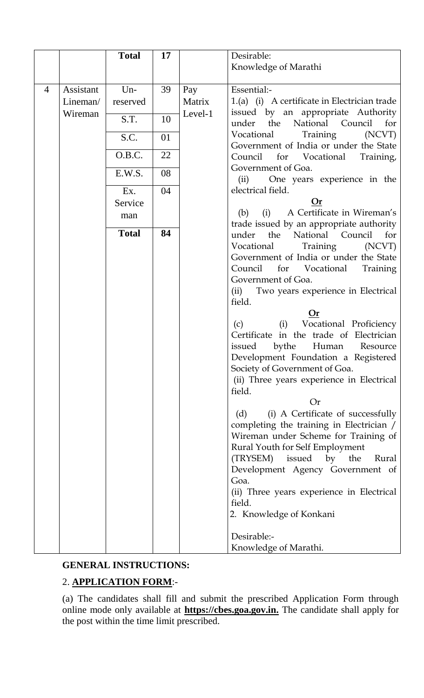|                |                     | <b>Total</b> | 17 |                   | Desirable:                                                                                                                                                                                                                                                |
|----------------|---------------------|--------------|----|-------------------|-----------------------------------------------------------------------------------------------------------------------------------------------------------------------------------------------------------------------------------------------------------|
|                |                     |              |    |                   | Knowledge of Marathi                                                                                                                                                                                                                                      |
| $\overline{4}$ | Assistant           | $Un-$        | 39 | Pay               | Essential:-                                                                                                                                                                                                                                               |
|                | Lineman/<br>Wireman | reserved     |    | Matrix<br>Level-1 | 1.(a) (i) A certificate in Electrician trade<br>issued by an appropriate Authority<br>the National Council<br>under<br>for                                                                                                                                |
|                |                     | S.T.         | 10 |                   |                                                                                                                                                                                                                                                           |
|                |                     | S.C.         | 01 |                   | Vocational Training (NCVT)<br>Government of India or under the State                                                                                                                                                                                      |
|                |                     | O.B.C.       | 22 |                   | Council<br>for Vocational<br>Training,<br>Government of Goa.<br>(ii) One years experience in the<br>electrical field.<br><b>Or</b><br>(i) A Certificate in Wireman's<br>(b)<br>trade issued by an appropriate authority<br>under the National Council for |
|                |                     | E.W.S.       | 08 |                   |                                                                                                                                                                                                                                                           |
|                |                     | Ex.          | 04 |                   |                                                                                                                                                                                                                                                           |
|                |                     | Service      |    |                   |                                                                                                                                                                                                                                                           |
|                |                     | man          |    |                   |                                                                                                                                                                                                                                                           |
|                |                     | <b>Total</b> | 84 |                   |                                                                                                                                                                                                                                                           |
|                |                     |              |    |                   | Training<br>(NCVT)<br>Vocational                                                                                                                                                                                                                          |
|                |                     |              |    |                   | Government of India or under the State                                                                                                                                                                                                                    |
|                |                     |              |    |                   | Council for Vocational<br><b>Training</b>                                                                                                                                                                                                                 |
|                |                     |              |    |                   | Government of Goa.<br>Two years experience in Electrical                                                                                                                                                                                                  |
|                |                     |              |    |                   | (ii)<br>field.                                                                                                                                                                                                                                            |
|                |                     |              |    |                   | <b>Or</b>                                                                                                                                                                                                                                                 |
|                |                     |              |    |                   | (i) Vocational Proficiency<br>(c)                                                                                                                                                                                                                         |
|                |                     |              |    |                   | Certificate in the trade of Electrician                                                                                                                                                                                                                   |
|                |                     |              |    |                   | issued<br>bythe Human Resource                                                                                                                                                                                                                            |
|                |                     |              |    |                   | Development Foundation a Registered<br>Society of Government of Goa.                                                                                                                                                                                      |
|                |                     |              |    |                   | (ii) Three years experience in Electrical                                                                                                                                                                                                                 |
|                |                     |              |    |                   | field.                                                                                                                                                                                                                                                    |
|                |                     |              |    |                   | Or                                                                                                                                                                                                                                                        |
|                |                     |              |    |                   | (i) A Certificate of successfully<br>(d)                                                                                                                                                                                                                  |
|                |                     |              |    |                   | completing the training in Electrician /                                                                                                                                                                                                                  |
|                |                     |              |    |                   | Wireman under Scheme for Training of                                                                                                                                                                                                                      |
|                |                     |              |    |                   | Rural Youth for Self Employment<br>(TRYSEM) issued by the<br>Rural                                                                                                                                                                                        |
|                |                     |              |    |                   | Development Agency Government of                                                                                                                                                                                                                          |
|                |                     |              |    |                   | Goa.                                                                                                                                                                                                                                                      |
|                |                     |              |    |                   | (ii) Three years experience in Electrical                                                                                                                                                                                                                 |
|                |                     |              |    |                   | field.                                                                                                                                                                                                                                                    |
|                |                     |              |    |                   | 2. Knowledge of Konkani                                                                                                                                                                                                                                   |
|                |                     |              |    |                   | Desirable:-                                                                                                                                                                                                                                               |
|                |                     |              |    |                   | Knowledge of Marathi.                                                                                                                                                                                                                                     |

## **GENERAL INSTRUCTIONS:**

## 2. **APPLICATION FORM**:-

(a) The candidates shall fill and submit the prescribed Application Form through online mode only available at **https://cbes.goa.gov.in.** The candidate shall apply for the post within the time limit prescribed.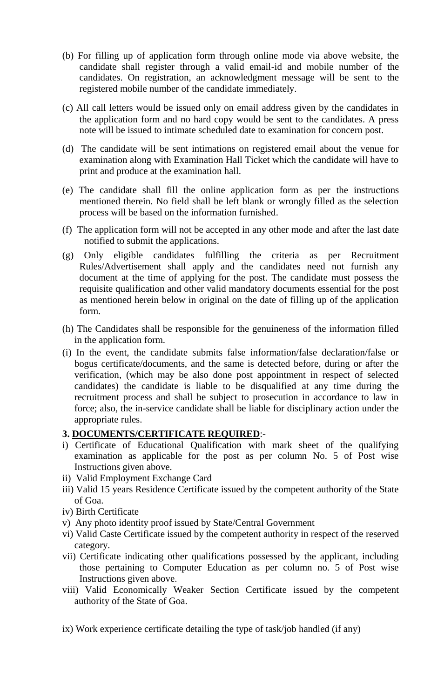- (b) For filling up of application form through online mode via above website, the candidate shall register through a valid email-id and mobile number of the candidates. On registration, an acknowledgment message will be sent to the registered mobile number of the candidate immediately.
- (c) All call letters would be issued only on email address given by the candidates in the application form and no hard copy would be sent to the candidates. A press note will be issued to intimate scheduled date to examination for concern post.
- (d) The candidate will be sent intimations on registered email about the venue for examination along with Examination Hall Ticket which the candidate will have to print and produce at the examination hall.
- (e) The candidate shall fill the online application form as per the instructions mentioned therein. No field shall be left blank or wrongly filled as the selection process will be based on the information furnished.
- (f) The application form will not be accepted in any other mode and after the last date notified to submit the applications.
- (g) Only eligible candidates fulfilling the criteria as per Recruitment Rules/Advertisement shall apply and the candidates need not furnish any document at the time of applying for the post. The candidate must possess the requisite qualification and other valid mandatory documents essential for the post as mentioned herein below in original on the date of filling up of the application form.
- (h) The Candidates shall be responsible for the genuineness of the information filled in the application form.
- (i) In the event, the candidate submits false information/false declaration/false or bogus certificate/documents, and the same is detected before, during or after the verification, (which may be also done post appointment in respect of selected candidates) the candidate is liable to be disqualified at any time during the recruitment process and shall be subject to prosecution in accordance to law in force; also, the in-service candidate shall be liable for disciplinary action under the appropriate rules.

## **3. DOCUMENTS/CERTIFICATE REQUIRED**:-

- i) Certificate of Educational Qualification with mark sheet of the qualifying examination as applicable for the post as per column No. 5 of Post wise Instructions given above.
- ii) Valid Employment Exchange Card
- iii) Valid 15 years Residence Certificate issued by the competent authority of the State of Goa.
- iv) Birth Certificate
- v) Any photo identity proof issued by State/Central Government
- vi) Valid Caste Certificate issued by the competent authority in respect of the reserved category.
- vii) Certificate indicating other qualifications possessed by the applicant, including those pertaining to Computer Education as per column no. 5 of Post wise Instructions given above.
- viii) Valid Economically Weaker Section Certificate issued by the competent authority of the State of Goa.
- ix) Work experience certificate detailing the type of task/job handled (if any)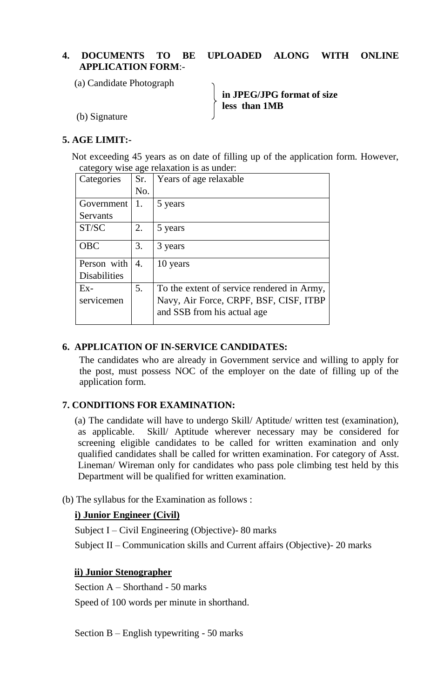# **APPLICATION FORM**:-

**4. DOCUMENTS TO BE UPLOADED ALONG WITH ONLINE** 

(a) Candidate Photograph

 **in JPEG/JPG format of size less than 1MB**

(b) Signature

### **5. AGE LIMIT:-**

 Not exceeding 45 years as on date of filling up of the application form. However, category wise age relaxation is as under:

| Categories          | Sr. | Years of age relaxable                                                |
|---------------------|-----|-----------------------------------------------------------------------|
|                     | No. |                                                                       |
| Government          | 1.  | 5 years                                                               |
| Servants            |     |                                                                       |
| ST/SC               | 2.  | 5 years                                                               |
| <b>OBC</b>          | 3.  | 3 years                                                               |
| Person with         | 4.  | 10 years                                                              |
| <b>Disabilities</b> |     |                                                                       |
| $Ex-$               | 5.  | To the extent of service rendered in Army,                            |
| servicemen          |     | Navy, Air Force, CRPF, BSF, CISF, ITBP<br>and SSB from his actual age |

#### **6. APPLICATION OF IN-SERVICE CANDIDATES:**

 The candidates who are already in Government service and willing to apply for the post, must possess NOC of the employer on the date of filling up of the application form.

#### **7. CONDITIONS FOR EXAMINATION:**

(a) The candidate will have to undergo Skill/ Aptitude/ written test (examination), as applicable. Skill/ Aptitude wherever necessary may be considered for screening eligible candidates to be called for written examination and only qualified candidates shall be called for written examination. For category of Asst. Lineman/ Wireman only for candidates who pass pole climbing test held by this Department will be qualified for written examination.

(b) The syllabus for the Examination as follows :

#### **i) Junior Engineer (Civil)**

Subject I – Civil Engineering (Objective)- 80 marks Subject II – Communication skills and Current affairs (Objective)- 20 marks

#### **ii) Junior Stenographer**

Section A – Shorthand - 50 marks

Speed of 100 words per minute in shorthand.

Section B – English typewriting - 50 marks